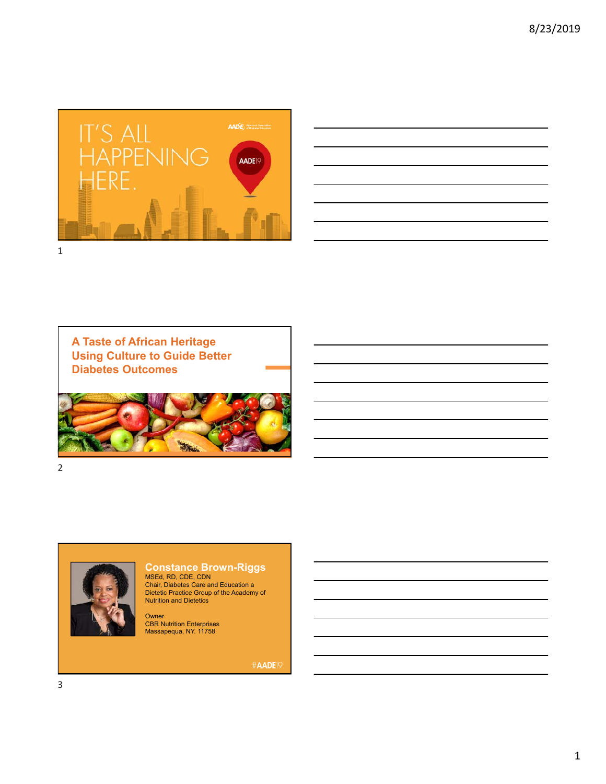

| <u> 1989 - Johann Stoff, amerikansk politiker (d. 1989)</u>                                                                                                                                                                   |                                                                                                                                                                                                                               |  |                          |
|-------------------------------------------------------------------------------------------------------------------------------------------------------------------------------------------------------------------------------|-------------------------------------------------------------------------------------------------------------------------------------------------------------------------------------------------------------------------------|--|--------------------------|
| the control of the control of the control of the control of the control of the control of the control of the control of the control of the control of the control of the control of the control of the control of the control |                                                                                                                                                                                                                               |  |                          |
|                                                                                                                                                                                                                               | <u> 1989 - Johann Stoff, deutscher Stoffen und der Stoffen und der Stoffen und der Stoffen und der Stoffen und der</u>                                                                                                        |  |                          |
|                                                                                                                                                                                                                               | the control of the control of the control of the control of the control of the control of the control of the control of the control of the control of the control of the control of the control of the control of the control |  | $\overline{\phantom{a}}$ |
|                                                                                                                                                                                                                               |                                                                                                                                                                                                                               |  |                          |
|                                                                                                                                                                                                                               |                                                                                                                                                                                                                               |  |                          |
|                                                                                                                                                                                                                               |                                                                                                                                                                                                                               |  |                          |

**A Taste of African Heritage Using Culture to Guide Better Diabetes Outcomes**



2



**Constance Brown-Riggs**

MSEd, RD, CDE, CDN Chair, Diabetes Care and Education a Dietetic Practice Group of the Academy of Nutrition and Dietetics

Owner<br>CBR Nutrition Enterprises<br>Massapequa, NY. 11758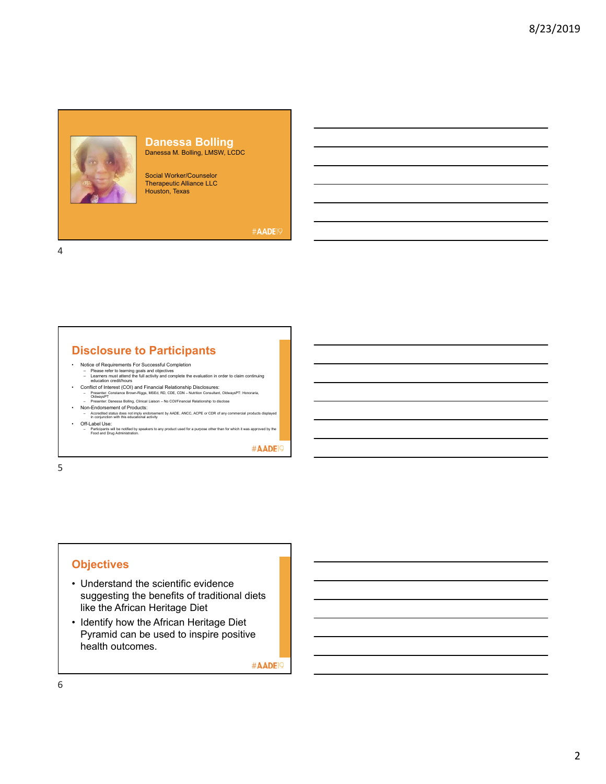

#### **Danessa Bolling** Danessa M. Bolling, LMSW, LCDC

Social Worker/Counselor Therapeutic Alliance LLC Houston, Texas

#AADE<sub>19</sub>

4

# **Disclosure to Participants**

- Notice of Requirements For Successful Completion<br>– Please refer to learning goals and objectives<br>– tearners must attend the full activity and complete the evaluation in order to claim continuing<br>– education credit/hours
	-
- Conflict of Interest (COI) and Financial Relationship Disclosures:<br>- Presenter: Constance Brown-Riggs, MSEd, RD, CDE, CDN Nutrition Consultant, OldwaysPT: Honoraria,<br>- Presenter: Danessa Bolling, Clinical Lialson No
	-
- 
- Non-Endorsement of Products: Accredited status does not imply endorsement by AADE, ANCC, ACPE or CDR of any commercial products displayed in conjunction with this educational activity • Off-Label Use:
- Participants will be notified by speakers to any product used for a purpose other than for which it was approved by the Food and Drug Administration.

#AADE<sup>19</sup>

5

# **Objectives**

- Understand the scientific evidence suggesting the benefits of traditional diets like the African Heritage Diet
- Identify how the African Heritage Diet Pyramid can be used to inspire positive health outcomes.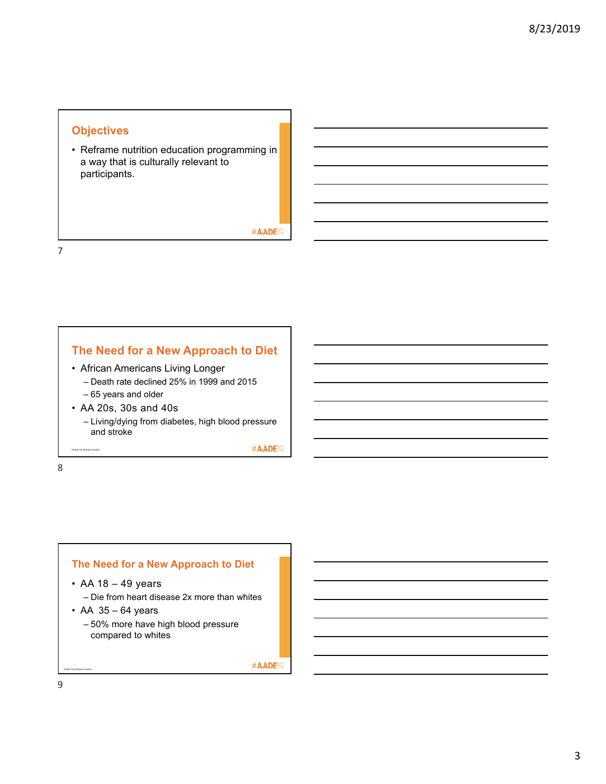### **Objectives**

• Reframe nutrition education programming in a way that is culturally relevant to participants.

#AADE<sup>19</sup>

7

# **The Need for a New Approach to Diet**

- African Americans Living Longer
	- Death rate declined 25% in 1999 and 2015 – 65 years and older
- AA 20s, 30s and 40s
	- Living/dying from diabetes, high blood pressure and stroke

#AADE<sup>19</sup>

8

Center for Disease Control

### **The Need for a New Approach to Diet**

- AA 18 49 years
	- Die from heart disease 2x more than whites
- $\cdot$  AA 35 64 years
	- 50% more have high blood pressure compared to whites

#AADE<sup>19</sup>

9

Center for Disease Control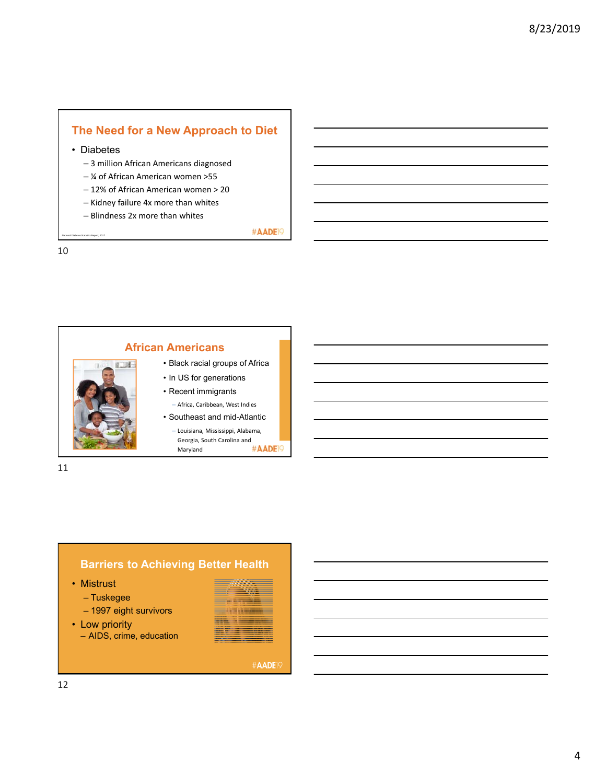# **The Need for a New Approach to Diet**

• Diabetes

– 3 million African Americans diagnosed

- ¼ of African American women >55
- 12% of African American women > 20
- Kidney failure 4x more than whites
- Blindness 2x more than whites

#AADE<sup>19</sup>

10

National Diabetes Statistics Report, 2017





• Mistrust

- Tuskegee
- 1997 eight survivors
- Low priority
	- AIDS, crime, education

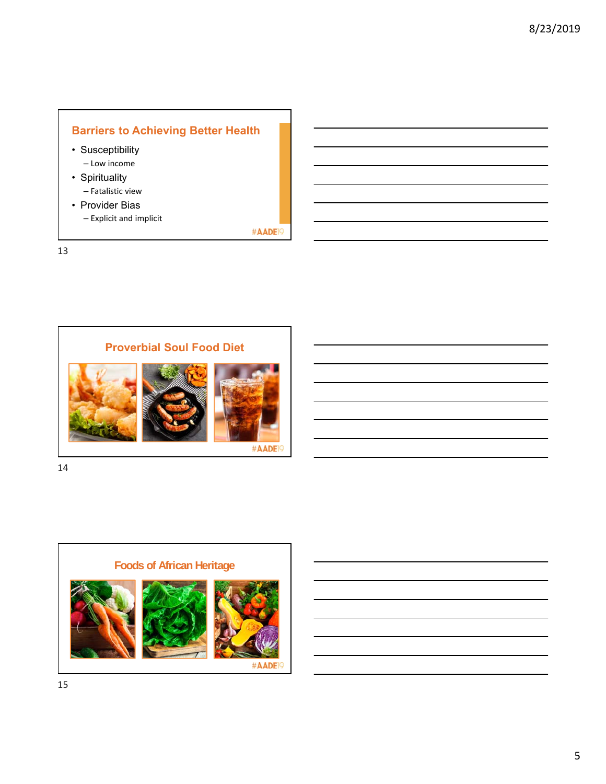# **Barriers to Achieving Better Health**

- Susceptibility – Low income
- Spirituality – Fatalistic view
- Provider Bias – Explicit and implicit

#AADE<sup>19</sup>

13



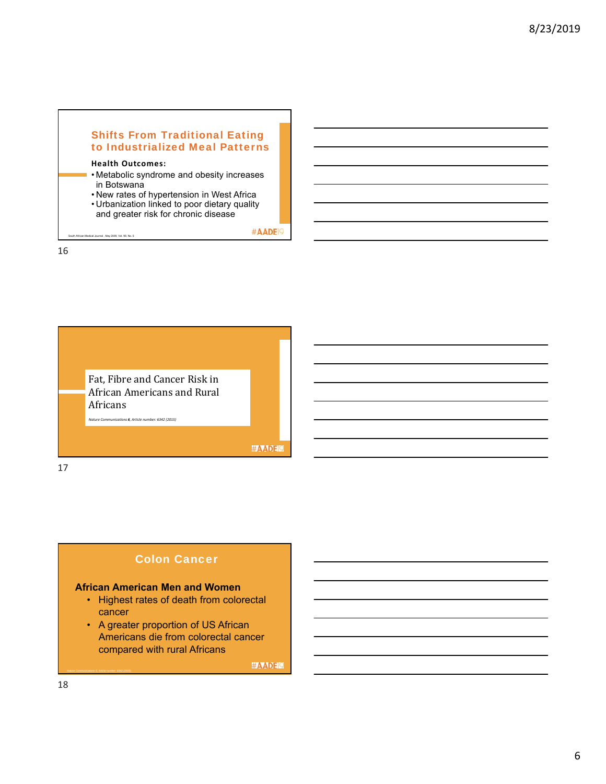### Shifts From Traditional Eating to Industrialized Meal Patterns

### **Health Outcomes:**

can Medical Journal , May 2009, Vol. 99, No. 5.

- **Metabolic syndrome and obesity increases** in Botswana
- New rates of hypertension in West Africa
- Urbanization linked to poor dietary quality
- and greater risk for chronic disease

#AADE<sup>19</sup>

16



### Colon Cancer

#### **African American Men and Women**

- Highest rates of death from colorectal cancer
- A greater proportion of US African Americans die from colorectal cancer compared with rural Africans

#AADEL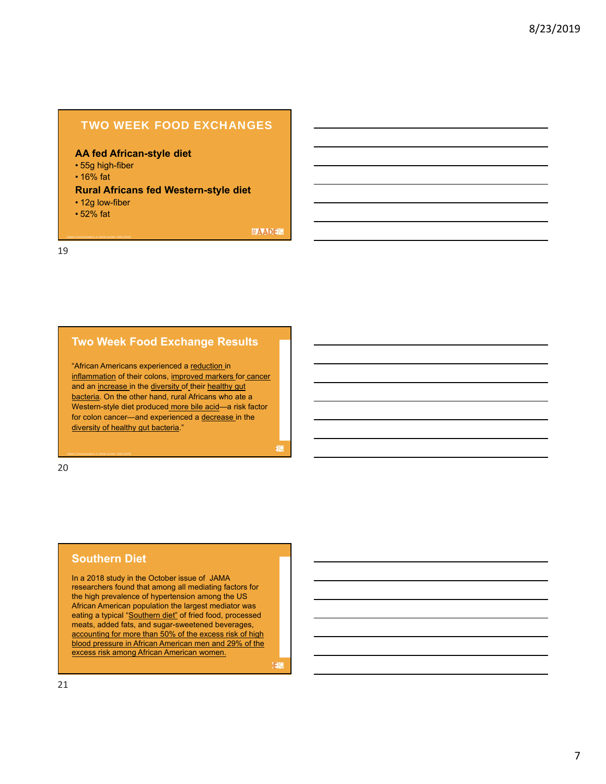### TWO WEEK FOOD EXCHANGES

#### **AA fed African-style diet**

- 55g high-fiber
- 16% fat

#### **Rural Africans fed Western-style diet**

• 12g low-fiber

*Nature Communications 6, Article number: 6342 (2015)*

• 52% fat

**#AADEM** 

19

### **Two Week Food Exchange Results**

"African Americans experienced a reduction in inflammation of their colons, improved markers for cancer and an increase in the diversity of their healthy gut bacteria. On the other hand, rural Africans who ate a Western-style diet produced more bile acid—a risk factor for colon cancer—and experienced a decrease in the diversity of healthy gut bacteria."

20

#### **Southern Diet**

In a 2018 study in the October issue of JAMA researchers found that among all mediating factors for the high prevalence of hypertension among the US African American population the largest mediator was eating a typical "Southern diet" of fried food, processed meats, added fats, and sugar-sweetened beverages, accounting for more than 50% of the excess risk of high blood pressure in African American men and 29% of the excess risk among African American women.

**E**IQ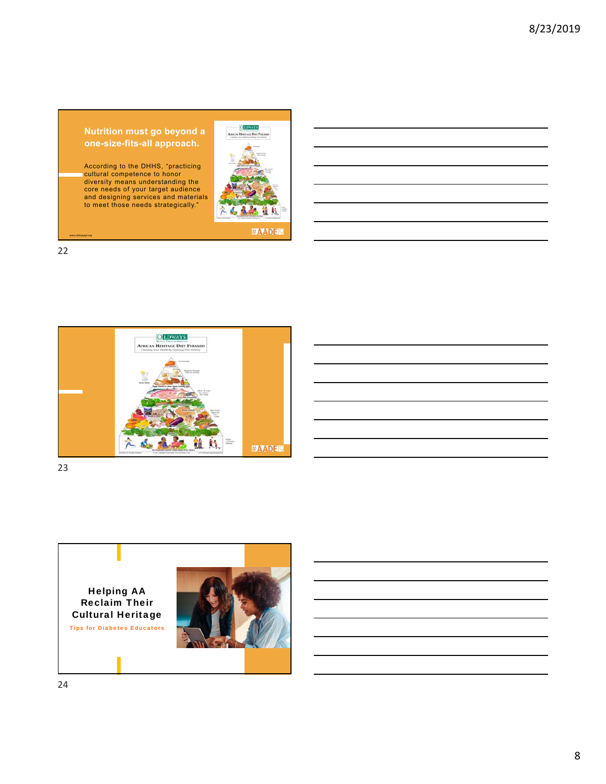#### **Nutrition must go beyond a one-size-fits-all approach.**

According to the DHHS, "practicing<br>cultural competence to honor<br>diversity means understanding the<br>and designing services and materials<br>to meet those needs strategically."



#AADEM

22

www.oldwayspt.org



23

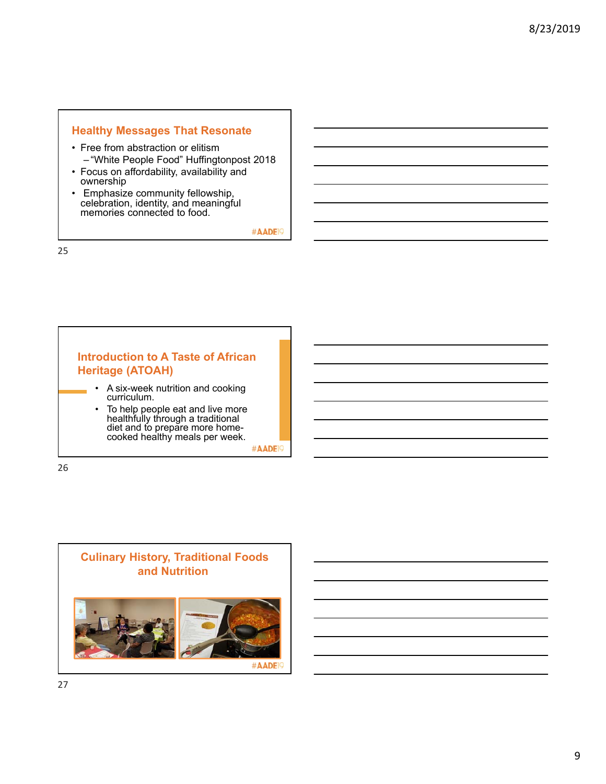### **Healthy Messages That Resonate**

- Free from abstraction or elitism – "White People Food" Huffingtonpost 2018
- Focus on affordability, availability and ownership
- Emphasize community fellowship, celebration, identity, and meaningful memories connected to food.

#AADE<sup>19</sup>

25

# **Introduction to A Taste of African Heritage (ATOAH)**

- A six-week nutrition and cooking curriculum.
- To help people eat and live more healthfully through a traditional diet and to prepare more homecooked healthy meals per week.

#AADE<sup>19</sup>

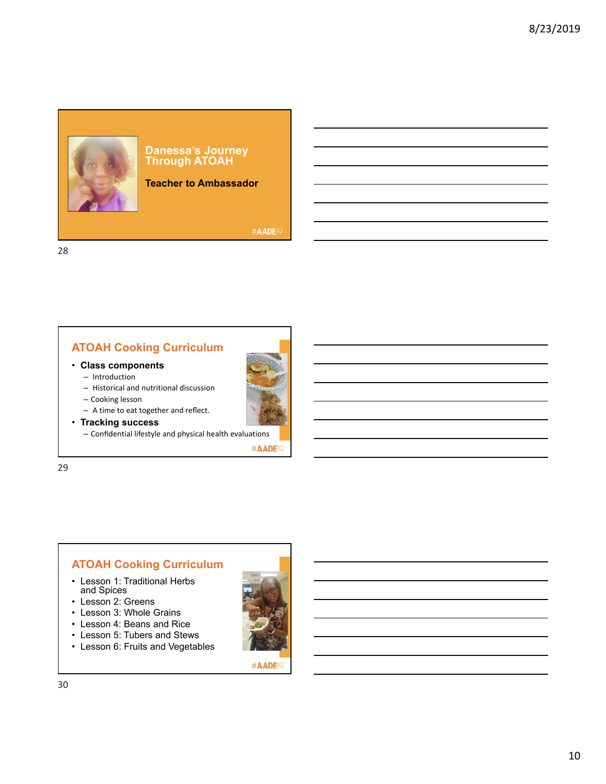

#### **Teacher to Ambassador**

#AADE<sub>19</sub>

28

# **ATOAH Cooking Curriculum**

#### • **Class components**

- Introduction
- Historical and nutritional discussion
- Cooking lesson – A time to eat together and reflect.



• **Tracking success**

– Confidential lifestyle and physical health evaluations

#AADE<sup>19</sup>

29

# **ATOAH Cooking Curriculum**

- Lesson 1: Traditional Herbs and Spices
- Lesson 2: Greens
- Lesson 3: Whole Grains
- Lesson 4: Beans and Rice
- Lesson 5: Tubers and Stews
- Lesson 6: Fruits and Vegetables

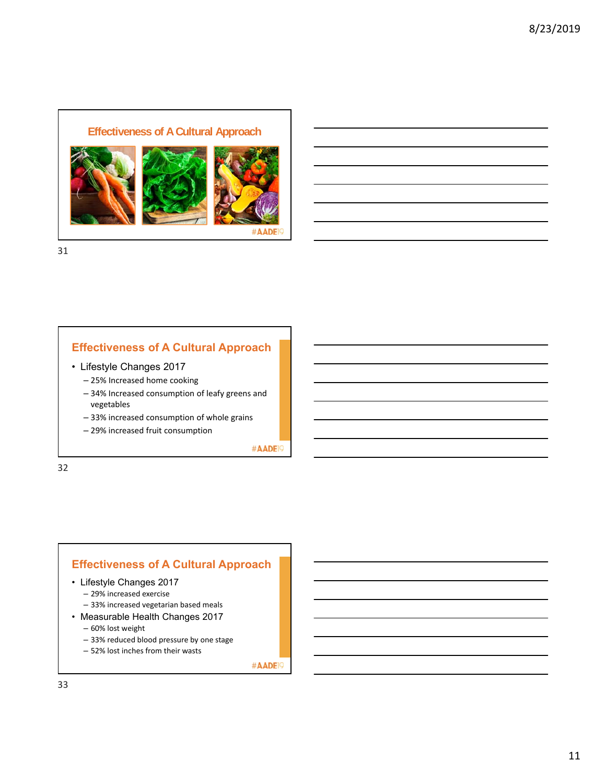## **Effectiveness of A Cultural Approach**



#AAD

31

## **Effectiveness of A Cultural Approach**

- Lifestyle Changes 2017
	- 25% Increased home cooking
	- 34% Increased consumption of leafy greens and vegetables
	- 33% increased consumption of whole grains
	- 29% increased fruit consumption

#AADE<sup>19</sup>

32

## **Effectiveness of A Cultural Approach**

- Lifestyle Changes 2017
	- 29% increased exercise
	- 33% increased vegetarian based meals
- Measurable Health Changes 2017
	- 60% lost weight
	- 33% reduced blood pressure by one stage
	- 52% lost inches from their wasts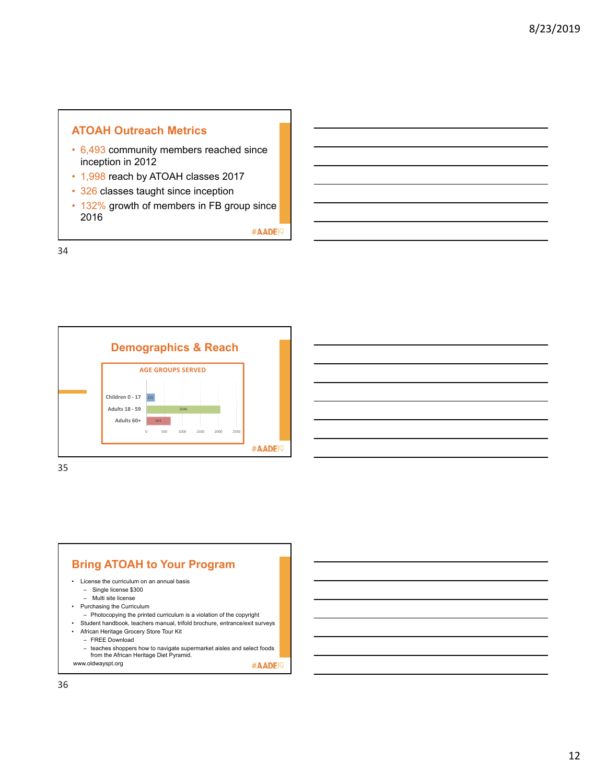# **ATOAH Outreach Metrics**

- 6,493 community members reached since inception in 2012
- 1,998 reach by ATOAH classes 2017
- 326 classes taught since inception
- 132% growth of members in FB group since 2016

#AADE<sup>19</sup>

34



**Bring ATOAH to Your Program** • License the curriculum on an annual basis – Single license \$300 – Multi site license • Purchasing the Curriculum – Photocopying the printed curriculum is a violation of the copyright • Student handbook, teachers manual, trifold brochure, entrance/exit surveys • African Heritage Grocery Store Tour Kit – FREE Download – teaches shoppers how to navigate supermarket aisles and select foods from the African Heritage Diet Pyramid. www.oldwayspt.org #AADE<sup>19</sup>